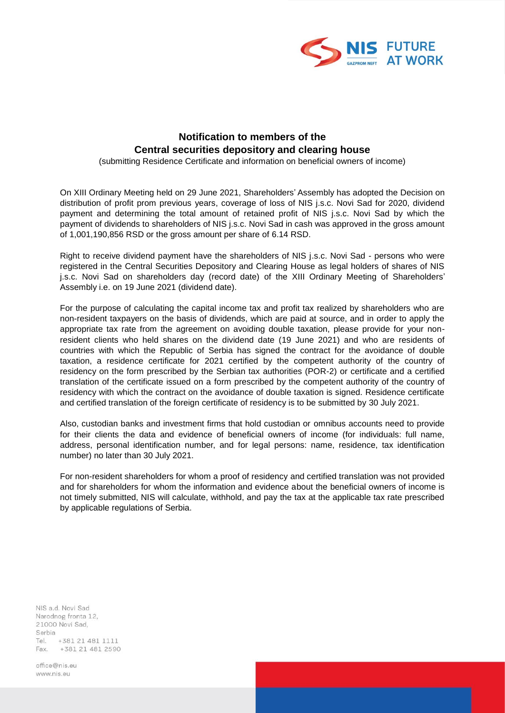

## **Notification to members of the Central securities depository and clearing house**

(submitting Residence Certificate and information on beneficial owners of income)

On XIII Ordinary Meeting held on 29 June 2021, Shareholders' Assembly has adopted the Decision on distribution of profit prom previous years, coverage of loss of NIS j.s.c. Novi Sad for 2020, dividend payment and determining the total amount of retained profit of NIS j.s.c. Novi Sad by which the payment of dividends to shareholders of NIS j.s.c. Novi Sad in cash was approved in the gross amount of 1,001,190,856 RSD or the gross amount per share of 6.14 RSD.

Right to receive dividend payment have the shareholders of NIS j.s.c. Novi Sad - persons who were registered in the Central Securities Depository and Clearing House as legal holders of shares of NIS j.s.c. Novi Sad on shareholders day (record date) of the XIII Ordinary Meeting of Shareholders' Assembly i.e. on 19 June 2021 (dividend date).

For the purpose of calculating the capital income tax and profit tax realized by shareholders who are non-resident taxpayers on the basis of dividends, which are paid at source, and in order to apply the appropriate tax rate from the agreement on avoiding double taxation, please provide for your nonresident clients who hеld shares on the dividend date (19 June 2021) and who are residents of countries with which the Republic of Serbia has signed the contract for the avoidance of double taxation, a residence certificate for 2021 certified by the competent authority of the country of residency on the form prescribed by the Serbian tax authorities (POR-2) or certificate and a certified translation of the certificate issued on a form prescribed by the competent authority of the country of residency with which the contract on the avoidance of double taxation is signed. Residence certificate and certified translation of the foreign certificate of residency is to be submitted by 30 July 2021.

Also, custodian banks and investment firms that hold custodian or omnibus accounts need to provide for their clients the data and evidence of beneficial owners of income (for individuals: full name, address, personal identification number, and for legal persons: name, residence, tax identification number) no later than 30 July 2021.

For non-resident shareholders for whom a proof of residency and certified translation was not provided and for shareholders for whom the information and evidence about the beneficial owners of income is not timely submitted, NIS will calculate, withhold, and pay the tax at the applicable tax rate prescribed by applicable regulations of Serbia.

NIS a.d. Novi Sad Narodnog fronta 12, 21000 Novi Sad, Serbia Tel. +381 21 481 1111 Fax. +381 21 481 2590

office@nis.eu www.nis.eu